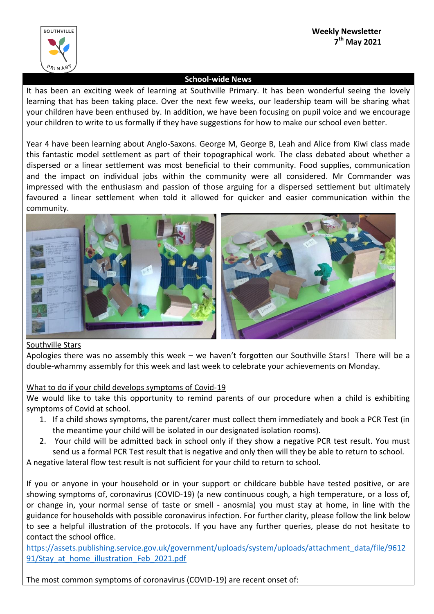

# **School-wide News**

It has been an exciting week of learning at Southville Primary. It has been wonderful seeing the lovely learning that has been taking place. Over the next few weeks, our leadership team will be sharing what your children have been enthused by. In addition, we have been focusing on pupil voice and we encourage your children to write to us formally if they have suggestions for how to make our school even better.

Year 4 have been learning about Anglo-Saxons. George M, George B, Leah and Alice from Kiwi class made this fantastic model settlement as part of their topographical work. The class debated about whether a dispersed or a linear settlement was most beneficial to their community. Food supplies, communication and the impact on individual jobs within the community were all considered. Mr Commander was impressed with the enthusiasm and passion of those arguing for a dispersed settlement but ultimately favoured a linear settlement when told it allowed for quicker and easier communication within the community.



# Southville Stars

Apologies there was no assembly this week – we haven't forgotten our Southville Stars! There will be a double-whammy assembly for this week and last week to celebrate your achievements on Monday.

# What to do if your child develops symptoms of Covid-19

We would like to take this opportunity to remind parents of our procedure when a child is exhibiting symptoms of Covid at school.

- 1. If a child shows symptoms, the parent/carer must collect them immediately and book a PCR Test (in the meantime your child will be isolated in our designated isolation rooms).
- 2. Your child will be admitted back in school only if they show a negative PCR test result. You must send us a formal PCR Test result that is negative and only then will they be able to return to school.

A negative lateral flow test result is not sufficient for your child to return to school.

If you or anyone in your household or in your support or childcare bubble have tested positive, or are showing symptoms of, coronavirus (COVID-19) (a new continuous cough, a high temperature, or a loss of, or change in, your normal sense of taste or smell - anosmia) you must stay at home, in line with the guidance for households with possible coronavirus infection. For further clarity, please follow the link below to see a helpful illustration of the protocols. If you have any further queries, please do not hesitate to contact the school office.

[https://assets.publishing.service.gov.uk/government/uploads/system/uploads/attachment\\_data/file/9612](https://assets.publishing.service.gov.uk/government/uploads/system/uploads/attachment_data/file/961291/Stay_at_home_illustration_Feb_2021.pdf) 91/Stay at home illustration Feb 2021.pdf

The most common symptoms of coronavirus (COVID-19) are recent onset of: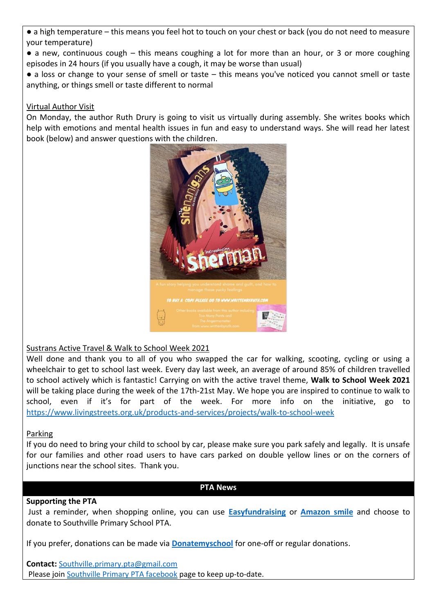● a high temperature – this means you feel hot to touch on your chest or back (you do not need to measure your temperature)

- $\bullet$  a new, continuous cough this means coughing a lot for more than an hour, or 3 or more coughing episodes in 24 hours (if you usually have a cough, it may be worse than usual)
- a loss or change to your sense of smell or taste this means you've noticed you cannot smell or taste anything, or things smell or taste different to normal

# Virtual Author Visit

On Monday, the author Ruth Drury is going to visit us virtually during assembly. She writes books which help with emotions and mental health issues in fun and easy to understand ways. She will read her latest book (below) and answer questions with the children.



# Sustrans Active Travel & Walk to School Week 2021

Well done and thank you to all of you who swapped the car for walking, scooting, cycling or using a wheelchair to get to school last week. Every day last week, an average of around 85% of children travelled to school actively which is fantastic! Carrying on with the active travel theme, **Walk to School Week 2021** will be taking place during the week of the 17th-21st May. We hope you are inspired to continue to walk to school, even if it's for part of the week. For more info on the initiative, go to <https://www.livingstreets.org.uk/products-and-services/projects/walk-to-school-week>

# Parking

If you do need to bring your child to school by car, please make sure you park safely and legally. It is unsafe for our families and other road users to have cars parked on double yellow lines or on the corners of junctions near the school sites. Thank you.

#### **PTA News**

# **Supporting the PTA**

Just a reminder, when shopping online, you can use **[Easyfundraising](https://www.easyfundraising.org.uk/causes/southvillesch/?q=southvill&cat=cause-autosuggest)** or **[Amazon smile](https://smile.amazon.co.uk/)** and choose to donate to Southville Primary School PTA.

If you prefer, donations can be made via **[Donatemyschool](https://donatemyschool.com/southville-primary-school-parents-teacher-association-2348)** for one-off or regular donations.

**Contact:** [Southville.primary.pta@gmail.com](mailto:Southville.primary.pta@gmail.com) Please joi[n Southville Primary PTA facebook](https://www.facebook.com/groups/734023813350596/) page to keep up-to-date.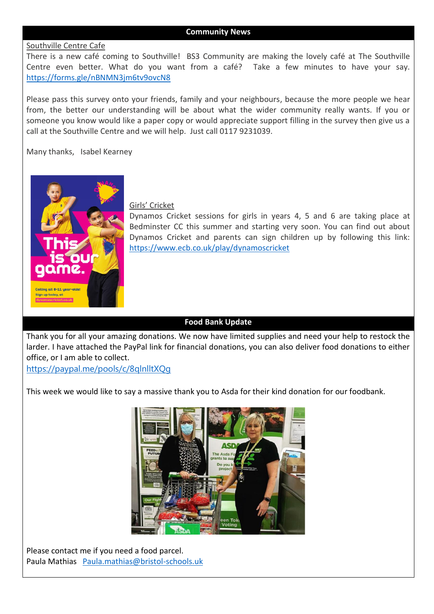#### **Community News**

#### Southville Centre Cafe

There is a new café coming to Southville! BS3 Community are making the lovely café at The Southville Centre even better. What do you want from a café? Take a few minutes to have your say. <https://forms.gle/nBNMN3jm6tv9ovcN8>

Please pass this survey onto your friends, family and your neighbours, because the more people we hear from, the better our understanding will be about what the wider community really wants. If you or someone you know would like a paper copy or would appreciate support filling in the survey then give us a call at the Southville Centre and we will help. Just call 0117 9231039.

Many thanks, Isabel Kearney



#### Girls' Cricket

Dynamos Cricket sessions for girls in years 4, 5 and 6 are taking place at Bedminster CC this summer and starting very soon. You can find out about Dynamos Cricket and parents can sign children up by following this link: <https://www.ecb.co.uk/play/dynamoscricket>

#### **Food Bank Update**

Thank you for all your amazing donations. We now have limited supplies and need your help to restock the larder. I have attached the PayPal link for financial donations, you can also deliver food donations to either office, or I am able to collect.

<https://paypal.me/pools/c/8qlnlltXQg>

This week we would like to say a massive thank you to Asda for their kind donation for our foodbank.



Please contact me if you need a food parcel. Paula Mathias [Paula.mathias@bristol-schools.uk](mailto:Paula.mathias@bristol-schools.uk)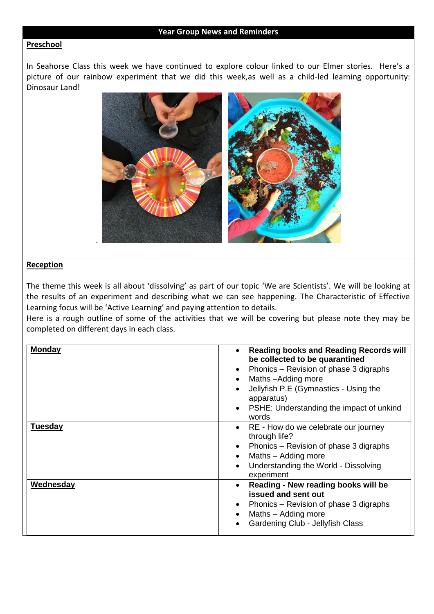#### **Year Group News and Reminders**

#### **Preschool**

In Seahorse Class this week we have continued to explore colour linked to our Elmer stories. Here's a picture of our rainbow experiment that we did this week,as well as a child-led learning opportunity: Dinosaur Land!



#### **Reception**

The theme this week is all about 'dissolving' as part of our topic 'We are Scientists'. We will be looking at the results of an experiment and describing what we can see happening. The Characteristic of Effective Learning focus will be 'Active Learning' and paying attention to details.

Here is a rough outline of some of the activities that we will be covering but please note they may be completed on different days in each class.

| <b>Monday</b>  | <b>Reading books and Reading Records will</b><br>be collected to be quarantined<br>Phonics – Revision of phase 3 digraphs<br>$\bullet$<br>Maths-Adding more<br>$\bullet$<br>Jellyfish P.E (Gymnastics - Using the<br>apparatus)<br>PSHE: Understanding the impact of unkind<br>words |
|----------------|--------------------------------------------------------------------------------------------------------------------------------------------------------------------------------------------------------------------------------------------------------------------------------------|
| <b>Tuesday</b> | RE - How do we celebrate our journey<br>$\bullet$<br>through life?<br>Phonics – Revision of phase 3 digraphs<br>Maths - Adding more<br>Understanding the World - Dissolving<br>experiment                                                                                            |
| Wednesday      | Reading - New reading books will be<br>$\bullet$<br>issued and sent out<br>Phonics – Revision of phase 3 digraphs<br>Maths - Adding more<br>Gardening Club - Jellyfish Class                                                                                                         |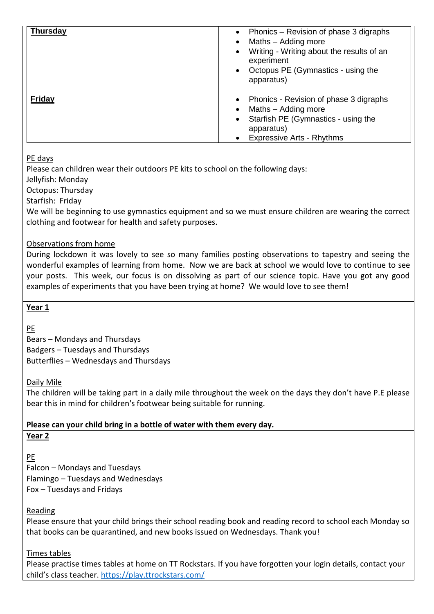| <b>Thursday</b> | Phonics – Revision of phase 3 digraphs<br>Maths - Adding more<br>Writing - Writing about the results of an<br>experiment<br>Octopus PE (Gymnastics - using the<br>apparatus) |
|-----------------|------------------------------------------------------------------------------------------------------------------------------------------------------------------------------|
| Friday          | Phonics - Revision of phase 3 digraphs<br>Maths - Adding more<br>Starfish PE (Gymnastics - using the<br>apparatus)<br><b>Expressive Arts - Rhythms</b>                       |

# PE days

Please can children wear their outdoors PE kits to school on the following days:

Jellyfish: Monday

Octopus: Thursday

Starfish: Friday

We will be beginning to use gymnastics equipment and so we must ensure children are wearing the correct clothing and footwear for health and safety purposes.

Observations from home

During lockdown it was lovely to see so many families posting observations to tapestry and seeing the wonderful examples of learning from home. Now we are back at school we would love to continue to see your posts. This week, our focus is on dissolving as part of our science topic. Have you got any good examples of experiments that you have been trying at home? We would love to see them!

# **Year 1**

PE

Bears – Mondays and Thursdays Badgers – Tuesdays and Thursdays Butterflies – Wednesdays and Thursdays

# Daily Mile

The children will be taking part in a daily mile throughout the week on the days they don't have P.E please bear this in mind for children's footwear being suitable for running.

# **Please can your child bring in a bottle of water with them every day.**

# **Year 2**

PE Falcon – Mondays and Tuesdays Flamingo – Tuesdays and Wednesdays Fox – Tuesdays and Fridays

# Reading

Please ensure that your child brings their school reading book and reading record to school each Monday so that books can be quarantined, and new books issued on Wednesdays. Thank you!

# Times tables

Please practise times tables at home on TT Rockstars. If you have forgotten your login details, contact your child's class teacher. <https://play.ttrockstars.com/>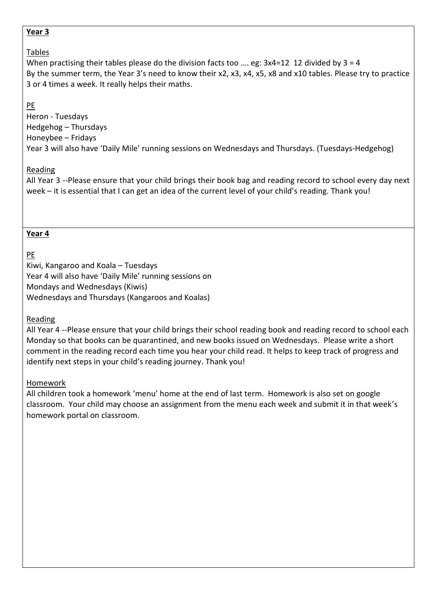# **Year 3**

# Tables

When practising their tables please do the division facts too …. eg: 3x4=12 12 divided by 3 = 4 By the summer term, the Year 3's need to know their x2, x3, x4, x5, x8 and x10 tables. Please try to practice 3 or 4 times a week. It really helps their maths.

# PE

Heron - Tuesdays Hedgehog – Thursdays Honeybee – Fridays Year 3 will also have 'Daily Mile' running sessions on Wednesdays and Thursdays. (Tuesdays-Hedgehog)

# Reading

All Year 3 --Please ensure that your child brings their book bag and reading record to school every day next week – it is essential that I can get an idea of the current level of your child's reading. Thank you!

# **Year 4**

# PE

Kiwi, Kangaroo and Koala – Tuesdays Year 4 will also have 'Daily Mile' running sessions on Mondays and Wednesdays (Kiwis) Wednesdays and Thursdays (Kangaroos and Koalas)

# Reading

All Year 4 --Please ensure that your child brings their school reading book and reading record to school each Monday so that books can be quarantined, and new books issued on Wednesdays. Please write a short comment in the reading record each time you hear your child read. It helps to keep track of progress and identify next steps in your child's reading journey. Thank you!

# Homework

All children took a homework 'menu' home at the end of last term. Homework is also set on google classroom. Your child may choose an assignment from the menu each week and submit it in that week's homework portal on classroom.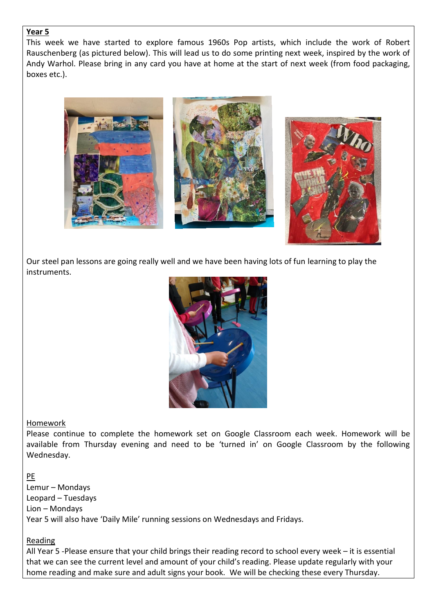### **Year 5**

This week we have started to explore famous 1960s Pop artists, which include the work of Robert Rauschenberg (as pictured below). This will lead us to do some printing next week, inspired by the work of Andy Warhol. Please bring in any card you have at home at the start of next week (from food packaging, boxes etc.).







Our steel pan lessons are going really well and we have been having lots of fun learning to play the instruments.



# Homework

Please continue to complete the homework set on Google Classroom each week. Homework will be available from Thursday evening and need to be 'turned in' on Google Classroom by the following Wednesday.

# PE

Lemur – Mondays Leopard – Tuesdays Lion – Mondays Year 5 will also have 'Daily Mile' running sessions on Wednesdays and Fridays.

# Reading

All Year 5 -Please ensure that your child brings their reading record to school every week – it is essential that we can see the current level and amount of your child's reading. Please update regularly with your home reading and make sure and adult signs your book. We will be checking these every Thursday.